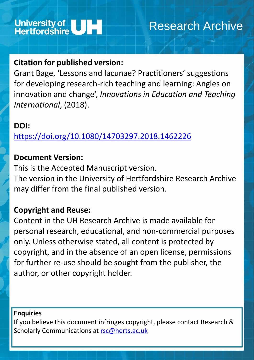

# Research Archive

# **Citation for published version:**

Grant Bage, 'Lessons and lacunae? Practitioners' suggestions for developing research-rich teaching and learning: Angles on innovation and change', *Innovations in Education and Teaching International*, (2018).

### **DOI:**

<https://doi.org/10.1080/14703297.2018.1462226>

## **Document Version:**

This is the Accepted Manuscript version. The version in the University of Hertfordshire Research Archive may differ from the final published version.

If you believe this document infringes copyright, please contact Research & Scholarly Communications at [rsc@herts.ac.uk](mailto:rsc@herts.ac.uk)

## **Copyright and Reuse:**

Content in the UH Research Archive is made available for personal research, educational, and non-commercial purposes only. Unless otherwise stated, all content is protected by copyright, and in the absence of an open license, permissions for further re-use should be sought from the publisher, the

### author, or other copyright holder.

### **Enquiries**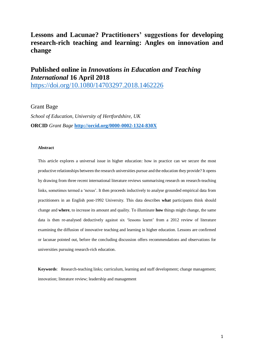### **Lessons and Lacunae? Practitioners' suggestions for developing research-rich teaching and learning: Angles on innovation and change**

### **Published online in** *Innovations in Education and Teaching International* **16 April 2018**

<https://doi.org/10.1080/14703297.2018.1462226>

#### Grant Bage

*School of Education, University of Hertfordshire, UK* **ORCID** *Grant Bage* **<http://orcid.org/0000-0002-1324-830X>**

#### **Abstract**

This article explores a universal issue in higher education: how in practice can we secure the most productive relationships between the research universities pursue and the education they provide? It opens by drawing from three recent international literature reviews summarising research on research-teaching links, sometimes termed a 'nexus'. It then proceeds inductively to analyse grounded empirical data from practitioners in an English post-1992 University. This data describes **what** participants think should change and **where**, to increase its amount and quality. To illuminate **how** things might change, the same data is then re-analysed deductively against six 'lessons learnt' from a 2012 review of literature examining the diffusion of innovative teaching and learning in higher education. Lessons are confirmed or lacunae pointed out, before the concluding discussion offers recommendations and observations for universities pursuing research-rich education.

**Keywords**: Research-teaching links; curriculum, learning and staff development; change management; innovation; literature review; leadership and management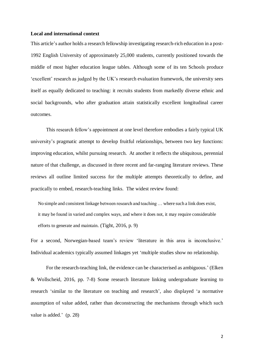#### **Local and international context**

This article's author holds a research fellowship investigating research-rich education in a post-1992 English University of approximately 25,000 students, currently positioned towards the middle of most higher education league tables. Although some of its ten Schools produce 'excellent' research as judged by the UK's research evaluation framework, the university sees itself as equally dedicated to teaching: it recruits students from markedly diverse ethnic and social backgrounds, who after graduation attain statistically excellent longitudinal career outcomes.

This research fellow's appointment at one level therefore embodies a fairly typical UK university's pragmatic attempt to develop fruitful relationships, between two key functions: improving education, whilst pursuing research. At another it reflects the ubiquitous, perennial nature of that challenge, as discussed in three recent and far-ranging literature reviews. These reviews all outline limited success for the multiple attempts theoretically to define, and practically to embed, research-teaching links. The widest review found:

No simple and consistent linkage between research and teaching … where such a link does exist, it may be found in varied and complex ways, and where it does not, it may require considerable efforts to generate and maintain. (Tight, 2016, p. 9)

For a second, Norwegian-based team's review 'literature in this area is inconclusive.' Individual academics typically assumed linkages yet 'multiple studies show no relationship.

For the research-teaching link, the evidence can be characterised as ambiguous.' (Elken & Wollscheid, 2016, pp. 7-8) Some research literature linking undergraduate learning to research 'similar to the literature on teaching and research', also displayed 'a normative assumption of value added, rather than deconstructing the mechanisms through which such value is added.' (p. 28)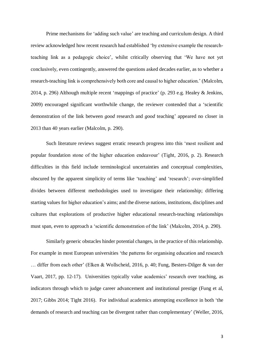Prime mechanisms for 'adding such value' are teaching and curriculum design. A third review acknowledged how recent research had established 'by extensive example the researchteaching link as a pedagogic choice', whilst critically observing that 'We have not yet conclusively, even contingently, answered the questions asked decades earlier, as to whether a research-teaching link is comprehensively both core and causal to higher education.' (Malcolm, 2014, p. 296) Although multiple recent 'mappings of practice' (p. 293 e.g. Healey & Jenkins, 2009) encouraged significant worthwhile change, the reviewer contended that a 'scientific demonstration of the link between *good* research and *good* teaching' appeared no closer in 2013 than 40 years earlier (Malcolm, p. 290).

Such literature reviews suggest erratic research progress into this 'most resilient and popular foundation stone of the higher education endeavour' (Tight, 2016, p. 2). Research difficulties in this field include terminological uncertainties and conceptual complexities, obscured by the apparent simplicity of terms like 'teaching' and 'research'; over-simplified divides between different methodologies used to investigate their relationship; differing starting values for higher education's aims; and the diverse nations, institutions, disciplines and cultures that explorations of productive higher educational research-teaching relationships must span, even to approach a 'scientific demonstration of the link' (Malcolm, 2014, p. 290).

Similarly generic obstacles hinder potential changes, in the practice of this relationship. For example in most European universities 'the patterns for organising education and research … differ from each other' (Elken & Wollscheid, 2016, p. 40; Fung, Besters-Dilger & van der Vaart, 2017, pp. 12-17). Universities typically value academics' research over teaching, as indicators through which to judge career advancement and institutional prestige (Fung et al, 2017; Gibbs 2014; Tight 2016). For individual academics attempting excellence in both 'the demands of research and teaching can be divergent rather than complementary' (Weller, 2016,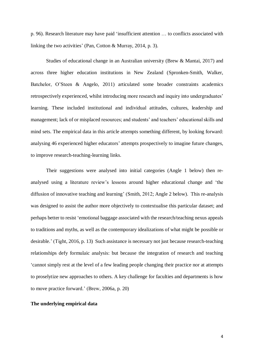p. 96). Research literature may have paid 'insufficient attention … to conflicts associated with linking the two activities' (Pan, Cotton & Murray, 2014, p. 3).

Studies of educational change in an Australian university (Brew & Mantai, 2017) and across three higher education institutions in New Zealand (Spronken-Smith, Walker, Batchelor, O'Steen & Angelo, 2011) articulated some broader constraints academics retrospectively experienced, whilst introducing more research and inquiry into undergraduates' learning. These included institutional and individual attitudes, cultures, leadership and management; lack of or misplaced resources; and students' and teachers' educational skills and mind sets. The empirical data in this article attempts something different, by looking forward: analysing 46 experienced higher educators' attempts prospectively to imagine future changes, to improve research-teaching-learning links.

Their suggestions were analysed into initial categories (Angle 1 below) then reanalysed using a literature review's lessons around higher educational change and 'the diffusion of innovative teaching and learning' (Smith, 2012; Angle 2 below). This re-analysis was designed to assist the author more objectively to contextualise this particular dataset; and perhaps better to resist 'emotional baggage associated with the research/teaching nexus appeals to traditions and myths, as well as the contemporary idealizations of what might be possible or desirable.' (Tight, 2016, p. 13) Such assistance is necessary not just because research-teaching relationships defy formulaic analysis: but because the integration of research and teaching 'cannot simply rest at the level of a few leading people changing their practice nor at attempts to proselytize new approaches to others. A key challenge for faculties and departments is how to move practice forward.' (Brew, 2006a, p. 20)

#### **The underlying empirical data**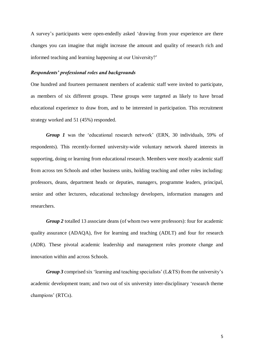A survey's participants were open-endedly asked 'drawing from your experience are there changes you can imagine that might increase the amount and quality of research rich and informed teaching and learning happening at our University?'

#### *Respondents' professional roles and backgrounds*

One hundred and fourteen permanent members of academic staff were invited to participate, as members of six different groups. These groups were targeted as likely to have broad educational experience to draw from, and to be interested in participation. This recruitment strategy worked and 51 (45%) responded.

*Group 1* was the 'educational research network' (ERN, 30 individuals, 59% of respondents). This recently-formed university-wide voluntary network shared interests in supporting, doing or learning from educational research. Members were mostly academic staff from across ten Schools and other business units, holding teaching and other roles including: professors, deans, department heads or deputies, managers, programme leaders, principal, senior and other lecturers, educational technology developers, information managers and researchers.

*Group 2* totalled 13 associate deans (of whom two were professors): four for academic quality assurance (ADAQA), five for learning and teaching (ADLT) and four for research (ADR). These pivotal academic leadership and management roles promote change and innovation within and across Schools.

*Group 3* comprised six 'learning and teaching specialists' (L&TS) from the university's academic development team; and two out of six university inter-disciplinary 'research theme champions' (RTCs).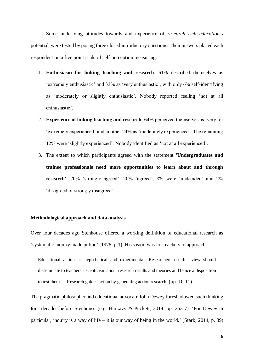Some underlying attitudes towards and experience of *research rich education's* potential, were tested by posing three closed introductory questions. Their answers placed each respondent on a five point scale of self-perception measuring:

- 1. **Enthusiasm for linking teaching and research**: 61% described themselves as 'extremely enthusiastic' and 33% as 'very enthusiastic', with only 6% self-identifying as 'moderately or slightly enthusiastic'. Nobody reported feeling 'not at all enthusiastic'.
- 2. **Experience of linking teaching and research**: 64% perceived themselves as 'very' or 'extremely experienced' and another 24% as 'moderately experienced'. The remaining 12% were 'slightly experienced'. Nobody identified as 'not at all experienced'.
- 3. The extent to which participants agreed with the statement **'Undergraduates and trainee professionals need more opportunities to learn about and through research'**: 70% 'strongly agreed', 20% 'agreed', 8% were 'undecided' and 2% 'disagreed or strongly disagreed'.

#### **Methodological approach and data analysis**

Over four decades ago Stenhouse offered a working definition of educational research as 'systematic inquiry made public' (1978, p.1). His vision was for teachers to approach:

Educational action as hypothetical and experimental. Researchers on this view should disseminate to teachers a scepticism about research results and theories and hence a disposition to test them … Research guides action by generating action research. (pp. 10-11)

The pragmatic philosopher and educational advocate John Dewey foreshadowed such thinking four decades before Stenhouse (e.g. Harkavy & Puckett, 2014, pp. 253-7). 'For Dewey in particular, inquiry is a way of life – it is our way of being in the world.' (Stark, 2014, p. 89)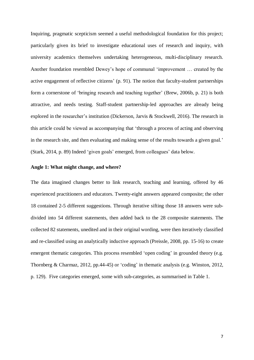Inquiring, pragmatic scepticism seemed a useful methodological foundation for this project; particularly given its brief to investigate educational uses of research and inquiry, with university academics themselves undertaking heterogeneous, multi-disciplinary research. Another foundation resembled Dewey's hope of communal 'improvement … created by the active engagement of reflective citizens' (p. 91). The notion that faculty-student partnerships form a cornerstone of 'bringing research and teaching together' (Brew, 2006b, p. 21) is both attractive, and needs testing. Staff-student partnership-led approaches are already being explored in the researcher's institution (Dickerson, Jarvis & Stockwell, 2016). The research in this article could be viewed as accompanying that 'through a process of acting and observing in the research site, and then evaluating and making sense of the results towards a given goal.' (Stark, 2014, p. 89) Indeed 'given goals' emerged, from colleagues' data below.

#### **Angle 1: What might change, and where?**

The data imagined changes better to link research, teaching and learning, offered by 46 experienced practitioners and educators. Twenty-eight answers appeared composite; the other 18 contained 2-5 different suggestions. Through iterative sifting those 18 answers were subdivided into 54 different statements, then added back to the 28 composite statements. The collected 82 statements, unedited and in their original wording, were then iteratively classified and re-classified using an analytically inductive approach (Preissle, 2008, pp. 15-16) to create emergent thematic categories. This process resembled 'open coding' in grounded theory (e.g. Thornberg & Charmaz, 2012, pp.44-45) or 'coding' in thematic analysis (e.g. Winston, 2012, p. 129). Five categories emerged, some with sub-categories, as summarised in Table 1.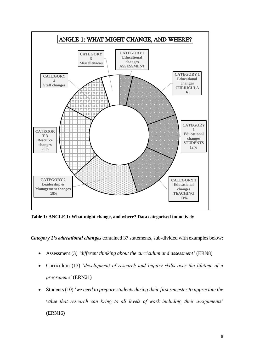

**Table 1: ANGLE 1: What might change, and where? Data categorised inductively**

*Category 1's educational changes* contained 37 statements, sub-divided with examples below:

- Assessment (3) *'different thinking about the curriculum and assessment'* (ERN8)
- Curriculum (13) *'development of research and inquiry skills over the lifetime of a programme'* (ERN21)
- Students (10) '*we need to prepare students during their first semester to appreciate the value that research can bring to all levels of work including their assignments'*  (ERN16)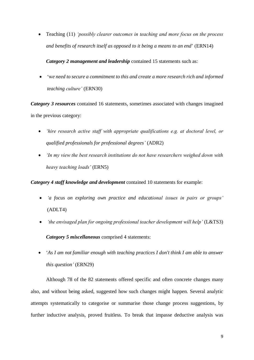Teaching (11) *'possibly clearer outcomes in teaching and more focus on the process and benefits of research itself as opposed to it being a means to an end*' (ERN14)

*Category 2 management and leadership* contained 15 statements such as:

 'w*e need to secure a commitment to this and create a more research rich and informed teaching culture'* (ERN30)

*Category 3 resources* contained 16 statements, sometimes associated with changes imagined in the previous category:

- *'hire research active staff with appropriate qualifications e.g. at doctoral level, or qualified professionals for professional degrees'* (ADR2)
- *'In my view the best research institutions do not have researchers weighed down with heavy teaching loads'* (ERN5)

*Category 4 staff knowledge and development* contained 10 statements for example:

- *'a focus on exploring own practice and educational issues in pairs or groups'*  (ADLT4)
- *'the envisaged plan for ongoing professional teacher development will help'* (L&TS3)

*Category 5 miscellaneous* comprised 4 statements:

 '*As I am not familiar enough with teaching practices I don't think I am able to answer this question'* (ERN29)

Although 78 of the 82 statements offered specific and often concrete changes many also, and without being asked, suggested how such changes might happen. Several analytic attempts systematically to categorise or summarise those change process suggestions, by further inductive analysis, proved fruitless. To break that impasse deductive analysis was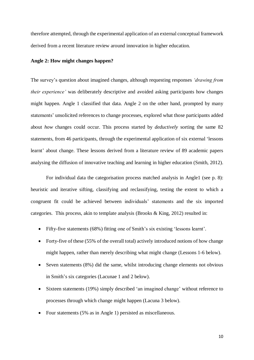therefore attempted, through the experimental application of an external conceptual framework derived from a recent literature review around innovation in higher education.

#### **Angle 2: How might changes happen?**

The survey's question about imagined changes, although requesting responses *'drawing from their experience'* was deliberately descriptive and avoided asking participants how changes might happen. Angle 1 classified that data. Angle 2 on the other hand, prompted by many statements' unsolicited references to change processes, explored what those participants added about *how* changes could occur. This process started by *deductively* sorting the same 82 statements, from 46 participants, through the experimental application of six external 'lessons learnt' about change. These lessons derived from a literature review of 89 academic papers analysing the diffusion of innovative teaching and learning in higher education (Smith, 2012).

For individual data the categorisation process matched analysis in Angle1 (see p. 8): heuristic and iterative sifting, classifying and reclassifying, testing the extent to which a congruent fit could be achieved between individuals' statements and the six imported categories. This process, akin to template analysis (Brooks & King, 2012) resulted in:

- Fifty-five statements (68%) fitting one of Smith's six existing 'lessons learnt'.
- Forty-five of these (55% of the overall total) actively introduced notions of how change might happen, rather than merely describing what might change (Lessons 1-6 below).
- Seven statements (8%) did the same, whilst introducing change elements not obvious in Smith's six categories (Lacunae 1 and 2 below).
- Sixteen statements (19%) simply described 'an imagined change' without reference to processes through which change might happen (Lacuna 3 below).
- Four statements (5% as in Angle 1) persisted as miscellaneous.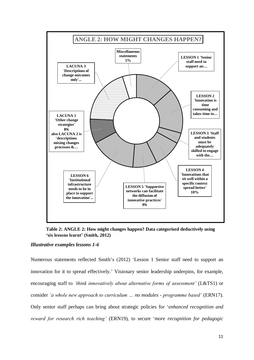

**Table 2: ANGLE 2: How might changes happen? Data categorised deductively using 'six lessons learnt' (Smith, 2012)** 

#### *Illustrative examples lessons 1-6*

Numerous statements reflected Smith's (2012) 'Lesson 1 Senior staff need to support an innovation for it to spread effectively.' Visionary senior leadership underpins, for example, encouraging staff to *'think innovatively about alternative forms of assessment'* (L&TS1) or consider *'a whole new approach to curriculum … no modules - programme based'* (ERN17). Only senior staff perhaps can bring about strategic policies for 'e*nhanced recognition and reward for research rich teaching'* (ERN19)*,* to secure '*more recognition for pedagogic*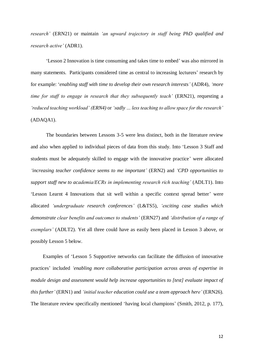*research'* (ERN21) or maintain *'an upward trajectory in staff being PhD qualified and research active'* (ADR1).

'Lesson 2 Innovation is time consuming and takes time to embed' was also mirrored in many statements. Participants considered time as central to increasing lecturers' research by for example: '*enabling staff with time to develop their own research interests'* (ADR4), *'more time for staff to engage in research that they subsequently teach'* (ERN21), requesting a *'reduced teaching workload' (ERN4)* or *'sadly … less teaching to allow space for the research'*  (ADAQA1).

The boundaries between Lessons 3-5 were less distinct, both in the literature review and also when applied to individual pieces of data from this study. Into 'Lesson 3 Staff and students must be adequately skilled to engage with the innovative practice' were allocated *'increasing teacher confidence seems to me important'* (ERN2) and *'CPD opportunities to support staff new to academia/ECRs in implementing research rich teaching'* (ADLT1). Into 'Lesson Learnt 4 Innovations that sit well within a specific context spread better' were allocated *'undergraduate research conferences'* (L&TS5), *'exciting case studies which demonstrate clear benefits and outcomes to students'* (ERN27) and *'distribution of a range of exemplars'* (ADLT2). Yet all three could have as easily been placed in Lesson 3 above, or possibly Lesson 5 below.

Examples of 'Lesson 5 Supportive networks can facilitate the diffusion of innovative practices' included *'enabling more collaborative participation across areas of expertise in module design and assessment would help increase opportunities to [test] evaluate impact of this further'* (ERN1) and *'initial teacher education could use a team approach here'* (ERN26). The literature review specifically mentioned 'having local champions' (Smith, 2012, p. 177),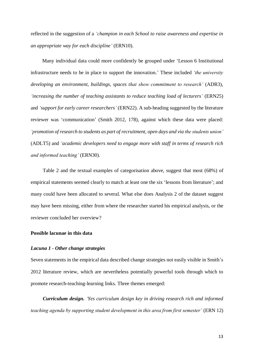reflected in the suggestion of a *'champion in each School to raise awareness and expertise in an appropriate way for each discipline'* (ERN10).

 Many individual data could more confidently be grouped under 'Lesson 6 Institutional infrastructure needs to be in place to support the innovation.' These included *'the university developing an environment, buildings, spaces that show commitment to research'* (ADR3), *'increasing the number of teaching assistants to reduce teaching load of lecturers'* (ERN25) and *'support for early career researchers'* (ERN22). A sub-heading suggested by the literature reviewer was 'communication' (Smith 2012, 178), against which these data were placed: *'promotion of research to students as part of recruitment, open days and via the students union'* (ADLT5) and *'academic developers need to engage more with staff in terms of research rich and informed teaching'* (ERN30).

Table 2 and the textual examples of categorisation above, suggest that most (68%) of empirical statements seemed clearly to match at least one the six 'lessons from literature'; and many could have been allocated to several. What else does Analysis 2 of the dataset suggest may have been missing, either from where the researcher started his empirical analysis, or the reviewer concluded her overview?

#### **Possible lacunae in this data**

#### *Lacuna 1 - Other change strategies*

Seven statements in the empirical data described change strategies not easily visible in Smith's 2012 literature review, which are nevertheless potentially powerful tools through which to promote research-teaching-learning links. Three themes emerged:

*Curriculum design. 'Yes curriculum design key in driving research rich and informed teaching agenda by supporting student development in this area from first semester'* (ERN 12)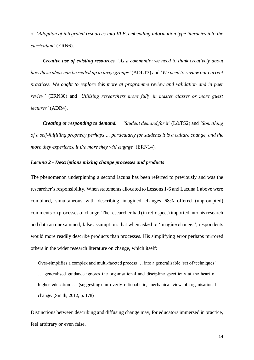or *'Adoption of integrated resources into VLE, embedding information type literacies into the curriculum'* (ERN6).

*Creative use of existing resources. 'As a community we need to think creatively about how these ideas can be scaled up to large groups'* (ADLT3) and '*We need to review our current practices. We ought to explore* this *more at programme review and validation and in peer review'* (ERN30) and *'Utilising researchers more fully in master classes or more guest lectures'* (ADR4).

*Creating or responding to demand. 'Student demand for it'* (L&TS2) and *'Something of a self-fulfilling prophecy perhaps … particularly for students it is a culture change, and the more they experience it the more they will engage'* (ERN14).

#### *Lacuna 2 - Descriptions mixing change processes and products*

The phenomenon underpinning a second lacuna has been referred to previously and was the researcher's responsibility. When statements allocated to Lessons 1-6 and Lacuna 1 above were combined, simultaneous with describing imagined changes 68% offered (unprompted) comments on processes of change. The researcher had (in retrospect) imported into his research and data an unexamined, false assumption: that when asked to 'imagine changes', respondents would more readily describe products than processes. His simplifying error perhaps mirrored others in the wider research literature on change, which itself:

Over-simplifies a complex and multi-faceted process … into a generalisable 'set of techniques' … generalised guidance ignores the organisational and discipline specificity at the heart of higher education ... (suggesting) an overly rationalistic, mechanical view of organisational change. (Smith, 2012, p. 178)

Distinctions between describing and diffusing change may, for educators immersed in practice, feel arbitrary or even false.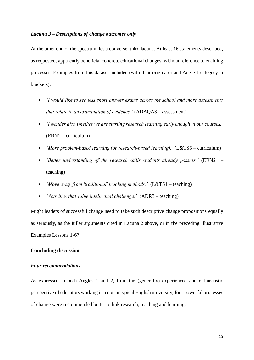#### *Lacuna 3 – Descriptions of change outcomes only*

At the other end of the spectrum lies a converse, third lacuna. At least 16 statements described, as requested, apparently beneficial concrete educational changes, without reference to enabling processes. Examples from this dataset included (with their originator and Angle 1 category in brackets):

- *'I would like to see less short answer exams across the school and more assessments that relate to an examination of evidence.'* (ADAQA3 – assessment)
- *'I wonder also whether we are starting research learning early enough in our courses.'*  (ERN2 – curriculum)
- *'More problem-based learning (or research-based learning).'* (L&TS5 curriculum)
- *'Better understanding of the research skills students already possess.'* (ERN21 teaching)
- *'Move away from 'traditional' teaching methods.'* (L&TS1 teaching)
- *'Activities that value intellectual challenge.'* (ADR3 teaching)

Might leaders of successful change need to take such descriptive change propositions equally as seriously, as the fuller arguments cited in Lacuna 2 above, or in the preceding Illustrative Examples Lessons 1-6?

#### **Concluding discussion**

#### *Four recommendations*

As expressed in both Angles 1 and 2, from the (generally) experienced and enthusiastic perspective of educators working in a not-untypical English university, four powerful processes of change were recommended better to link research, teaching and learning: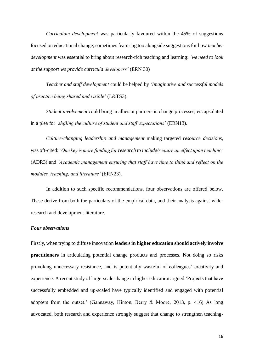*Curriculum development* was particularly favoured within the 45% of suggestions focused on educational change; sometimes featuring too alongside suggestions for how *teacher development* was essential to bring about research-rich teaching and learning: *'we need to look at the support we provide curricula developers'* (ERN 30)

*Teacher and staff development* could be helped by *'Imaginative and successful models of practice being shared and visible'* (L&TS3).

*Student involvement* could bring in allies or partners in change processes, encapsulated in a plea for *'shifting the culture of student and staff expectations'* (ERN13).

*Culture-changing leadership and management* making targeted *resource decisions*, was oft-cited: *'One key is more funding for research to include/require an effect upon teaching'* (ADR3) and *'Academic management ensuring that staff have time to think and reflect on the modules, teaching, and literature'* (ERN23).

In addition to such specific recommendations, four observations are offered below. These derive from both the particulars of the empirical data, and their analysis against wider research and development literature.

#### *Four observations*

Firstly, when trying to diffuse innovation **leaders in higher education should actively involve practitioners** in articulating potential change products and processes. Not doing so risks provoking unnecessary resistance, and is potentially wasteful of colleagues' creativity and experience. A recent study of large-scale change in higher education argued 'Projects that have successfully embedded and up-scaled have typically identified and engaged with potential adopters from the outset.' (Gannaway, Hinton, Berry & Moore, 2013, p. 416) As long advocated, both research and experience strongly suggest that change to strengthen teaching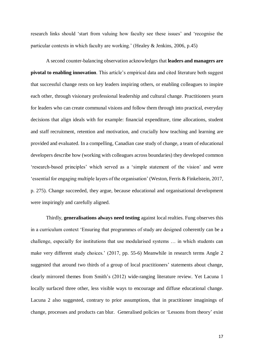research links should 'start from valuing how faculty see these issues' and 'recognise the particular contexts in which faculty are working.' (Healey & Jenkins, 2006, p.45)

A second counter-balancing observation acknowledges that **leaders and managers are pivotal to enabling innovation**. This article's empirical data and cited literature both suggest that successful change rests on key leaders inspiring others, or enabling colleagues to inspire each other, through visionary professional leadership and cultural change. Practitioners yearn for leaders who can create communal visions and follow them through into practical, everyday decisions that align ideals with for example: financial expenditure, time allocations, student and staff recruitment, retention and motivation, and crucially how teaching and learning are provided and evaluated. In a compelling, Canadian case study of change, a team of educational developers describe how (working with colleagues across boundaries) they developed common 'research-based principles' which served as a 'simple statement of the vision' and were 'essential for engaging multiple layers of the organisation' (Weston, Ferris & Finkelstein, 2017, p. 275). Change succeeded, they argue, because educational and organisational development were inspiringly and carefully aligned.

Thirdly, **generalisations always need testing** against local realties. Fung observes this in a curriculum context 'Ensuring that programmes of study are designed coherently can be a challenge, especially for institutions that use modularised systems … in which students can make very different study choices.' (2017, pp. 55-6) Meanwhile in research terms Angle 2 suggested that around two thirds of a group of local practitioners' statements about change, clearly mirrored themes from Smith's (2012) wide-ranging literature review. Yet Lacuna 1 locally surfaced three other, less visible ways to encourage and diffuse educational change. Lacuna 2 also suggested, contrary to prior assumptions, that in practitioner imaginings of change, processes and products can blur. Generalised policies or 'Lessons from theory' exist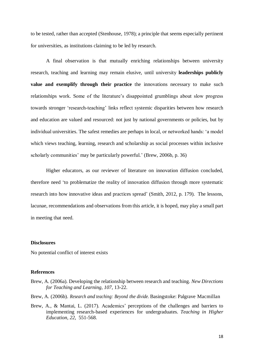to be tested, rather than accepted (Stenhouse, 1978); a principle that seems especially pertinent for universities, as institutions claiming to be led by research.

A final observation is that mutually enriching relationships between university research, teaching and learning may remain elusive, until university **leaderships publicly value and exemplify through their practice** the innovations necessary to make such relationships work. Some of the literature's disappointed grumblings about slow progress towards stronger 'research-teaching' links reflect systemic disparities between how research and education are valued and resourced: not just by national governments or policies, but by individual universities. The safest remedies are perhaps in local, or networked hands: 'a model which views teaching, learning, research and scholarship as social processes within inclusive scholarly communities' may be particularly powerful.' (Brew, 2006b, p. 36)

Higher educators, as our reviewer of literature on innovation diffusion concluded, therefore need 'to problematize the reality of innovation diffusion through more systematic research into how innovative ideas and practices spread' (Smith, 2012, p. 179). The lessons, lacunae, recommendations and observations from this article, it is hoped, may play a small part in meeting that need.

#### **Disclosures**

No potential conflict of interest exists

#### **References**

- Brew, A. (2006a). Developing the relationship between research and teaching. *New Directions for Teaching and Learning, 107*, 13-22.
- Brew, A. (2006b). *Research and teaching: Beyond the divide.* Basingstoke: Palgrave Macmillan
- Brew, A., & Mantai, L. (2017). Academics' perceptions of the challenges and barriers to implementing research-based experiences for undergraduates. *Teaching in Higher Education, 22*, 551-568.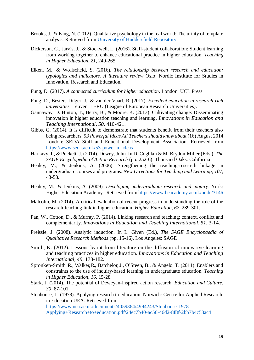- Brooks, J., & King, N. (2012). Qualitative psychology in the real world: The utility of template analysis. Retrieved from [University of Huddersfield Repository](http://eprints.hud.ac.uk/13656/)
- Dickerson, C., Jarvis, J., & Stockwell, L. (2016). Staff-student collaboration: Student learning from working together to enhance educational practice in higher education. *Teaching in Higher Education, 21*, 249-265.
- Elken, M., & Wollscheid, S. (2016). *The relationship between research and education: typologies and indicators. A literature review* Oslo: Nordic Institute for Studies in Innovation, Research and Education.
- Fung, D. (2017). *A connected curriculum for higher education*. London: UCL Press.
- Fung, D., Besters-Dilger, J., & van der Vaart, R. (2017). *Excellent education in research-rich universities.* Leuven: LERU (League of European Research Universities).
- Gannaway, D. Hinton, T., Berry, B., & Moore, K. (2013). Cultivating change: Disseminating innovation in higher education teaching and learning. *Innovations in Education and Teaching International, 50*, 410-421.
- Gibbs, G. (2014). It is difficult to demonstrate that students benefit from their teachers also being researchers. *53 Powerful Ideas All Teachers should know about* (16) August 2014 London: SEDA Staff and Educational Development Association. Retrieved from <https://www.seda.ac.uk/53-powerful-ideas>
- Harkavy, I., & Puckett, J. (2014). Dewey, John. In D. Coghlan & M. Brydon-Miller (Eds.), *The SAGE Encyclopedia of Action Research* (pp. 252-6). Thousand Oaks: California
- Healey, M., & Jenkins, A. (2006). Strengthening the teaching-research linkage in undergraduate courses and programs. *New Directions for Teaching and Learning, 107*, 43-53.
- Healey, M., & Jenkins, A. (2009). *Developing undergraduate research and inquiry.* York: Higher Education Academy. Retrieved from <https://www.heacademy.ac.uk/node/3146>
- Malcolm, M. (2014). A critical evaluation of recent progress in understanding the role of the research-teaching link in higher education. *Higher Education, 67*, 289-301.
- Pan, W., Cotton, D., & Murray, P. (2014). Linking research and teaching: context, conflict and complementarity. *Innovations in Education and Teaching International, 51*, 3-14.
- Preissle, J. (2008). Analytic induction. In L. Given (Ed.), *The SAGE Encyclopaedia of Qualitative Research Methods* (pp. 15-16). Los Angeles: SAGE
- Smith, K. (2012). Lessons learnt from literature on the diffusion of innovative learning and teaching practices in higher education. *Innovations in Education and Teaching International, 49*, 173-182.
- Spronken-Smith R., Walker,R., Batchelor,J., O'Steen, B., & Angelo, T. (2011). Enablers and constraints to the use of inquiry-based learning in undergraduate education. *Teaching in Higher Education, 16*, 15-28.
- Stark, J. (2014). The potential of Deweyan-inspired action research. *Education and Culture, 30*, 87-101.
- Stenhouse, L. (1978). Applying research to education. Norwich: Centre for Applied Research in Education UEA. Retrieved from [https://www.uea.ac.uk/documents/4059364/4994243/Stenhouse-1978-](https://www.uea.ac.uk/documents/4059364/4994243/Stenhouse-1978-Applying+Research+to+education.pdf/24ec7b40-ac56-46d2-8f8f-2bb7b4c53ac4) [Applying+Research+to+education.pdf/24ec7b40-ac56-46d2-8f8f-2bb7b4c53ac4](https://www.uea.ac.uk/documents/4059364/4994243/Stenhouse-1978-Applying+Research+to+education.pdf/24ec7b40-ac56-46d2-8f8f-2bb7b4c53ac4)